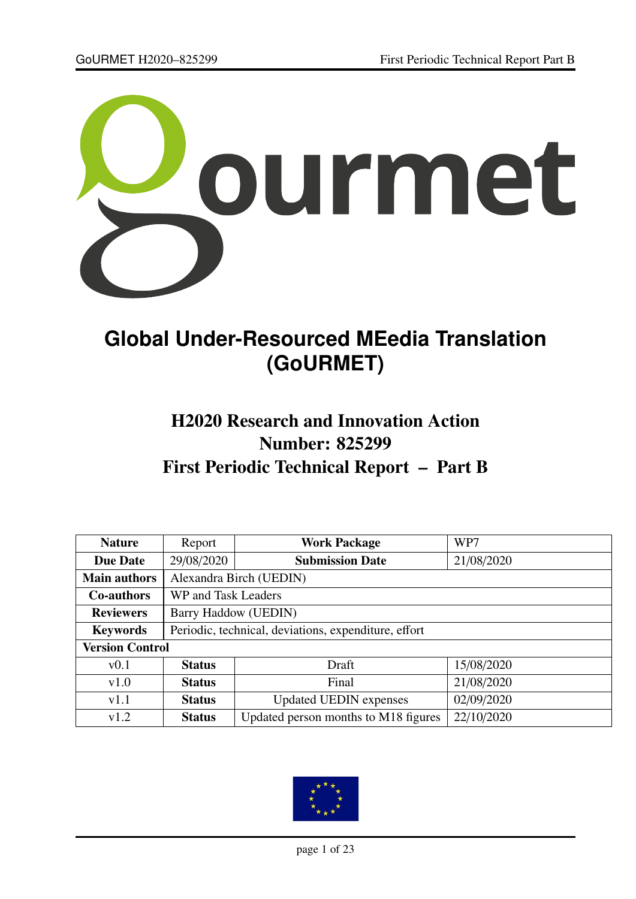

# **Global Under-Resourced MEedia Translation (GoURMET)**

## H2020 Research and Innovation Action Number: 825299 First Periodic Technical Report – Part B

| <b>Nature</b>          | Report                                               | <b>Work Package</b>                  | WP7        |  |  |  |
|------------------------|------------------------------------------------------|--------------------------------------|------------|--|--|--|
| <b>Due Date</b>        | 29/08/2020                                           | <b>Submission Date</b>               | 21/08/2020 |  |  |  |
| <b>Main authors</b>    | Alexandra Birch (UEDIN)                              |                                      |            |  |  |  |
| <b>Co-authors</b>      | WP and Task Leaders                                  |                                      |            |  |  |  |
| <b>Reviewers</b>       | Barry Haddow (UEDIN)                                 |                                      |            |  |  |  |
| <b>Keywords</b>        | Periodic, technical, deviations, expenditure, effort |                                      |            |  |  |  |
| <b>Version Control</b> |                                                      |                                      |            |  |  |  |
| v0.1                   | <b>Status</b>                                        | Draft                                | 15/08/2020 |  |  |  |
| v1.0                   | <b>Status</b>                                        | Final                                | 21/08/2020 |  |  |  |
| v1.1                   | <b>Status</b>                                        | <b>Updated UEDIN</b> expenses        | 02/09/2020 |  |  |  |
| v1.2                   | <b>Status</b>                                        | Updated person months to M18 figures | 22/10/2020 |  |  |  |

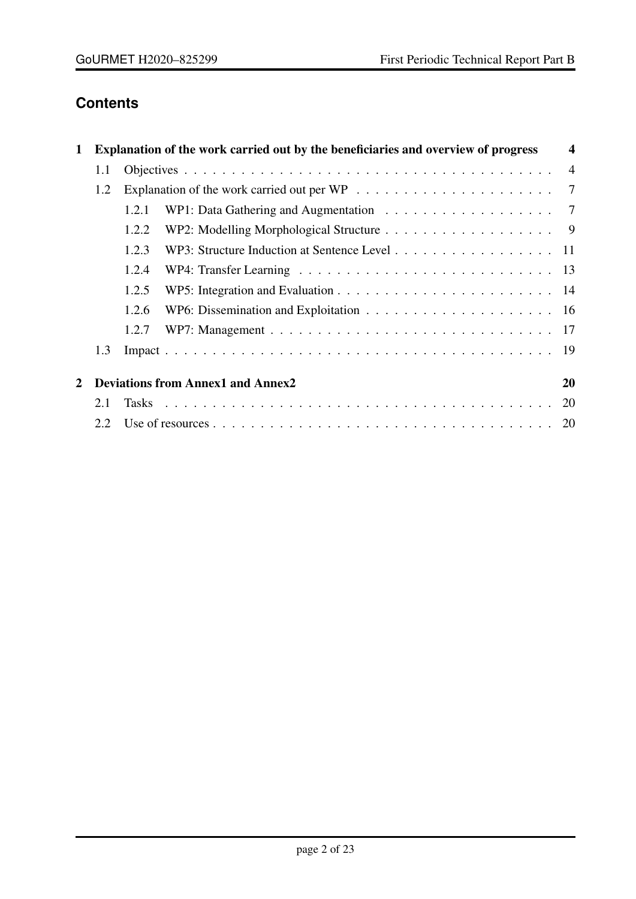## **Contents**

| Explanation of the work carried out by the beneficiaries and overview of progress<br>1 |                                          |       |                                                                                                                                         |    |  |
|----------------------------------------------------------------------------------------|------------------------------------------|-------|-----------------------------------------------------------------------------------------------------------------------------------------|----|--|
|                                                                                        | 1.1                                      |       |                                                                                                                                         |    |  |
|                                                                                        | 1.2                                      |       |                                                                                                                                         |    |  |
|                                                                                        |                                          | 1.2.1 | WP1: Data Gathering and Augmentation $\ldots \ldots \ldots \ldots \ldots \ldots$ 7                                                      |    |  |
|                                                                                        |                                          | 1.2.2 |                                                                                                                                         |    |  |
|                                                                                        |                                          | 1.2.3 | WP3: Structure Induction at Sentence Level 11                                                                                           |    |  |
|                                                                                        |                                          | 1.2.4 |                                                                                                                                         |    |  |
|                                                                                        |                                          | 1.2.5 | WP5: Integration and Evaluation $\dots \dots \dots \dots \dots \dots \dots \dots \dots \dots \dots \dots \dots \dots \dots \dots \dots$ |    |  |
|                                                                                        |                                          | 1.2.6 |                                                                                                                                         |    |  |
|                                                                                        |                                          | 1.2.7 |                                                                                                                                         |    |  |
|                                                                                        | 1.3                                      |       |                                                                                                                                         |    |  |
| $\mathbf{2}$                                                                           | <b>Deviations from Annex1 and Annex2</b> |       |                                                                                                                                         |    |  |
|                                                                                        | 2.1                                      |       |                                                                                                                                         | 20 |  |
|                                                                                        | 2.2.                                     |       |                                                                                                                                         |    |  |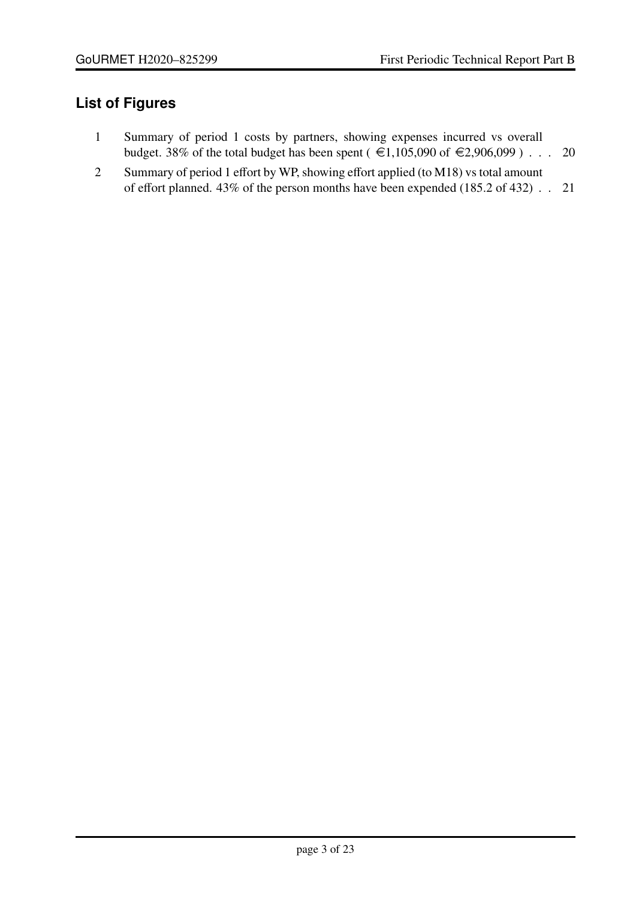### **List of Figures**

- [1 Summary of period 1 costs by partners, showing expenses incurred vs overall](#page-19-3) [budget. 38% of the total budget has been spent \(](#page-19-3) $\epsilon$ 1,105,090 of  $\epsilon$ 2,906,099) . . . 20
- 2 Summary of period 1 effort by WP, showing eff[ort applied \(to M18\) vs total amount](#page-20-0) of eff[ort planned. 43% of the person months have been expended \(185.2 of 432\)](#page-20-0) . . 21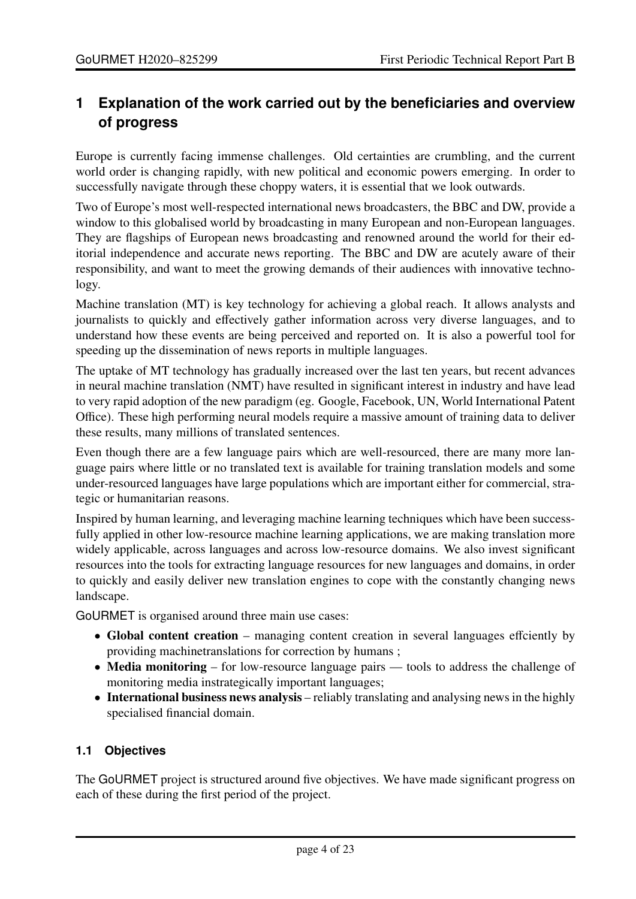### <span id="page-3-0"></span>**1 Explanation of the work carried out by the beneficiaries and overview of progress**

Europe is currently facing immense challenges. Old certainties are crumbling, and the current world order is changing rapidly, with new political and economic powers emerging. In order to successfully navigate through these choppy waters, it is essential that we look outwards.

Two of Europe's most well-respected international news broadcasters, the BBC and DW, provide a window to this globalised world by broadcasting in many European and non-European languages. They are flagships of European news broadcasting and renowned around the world for their editorial independence and accurate news reporting. The BBC and DW are acutely aware of their responsibility, and want to meet the growing demands of their audiences with innovative technology.

Machine translation (MT) is key technology for achieving a global reach. It allows analysts and journalists to quickly and effectively gather information across very diverse languages, and to understand how these events are being perceived and reported on. It is also a powerful tool for speeding up the dissemination of news reports in multiple languages.

The uptake of MT technology has gradually increased over the last ten years, but recent advances in neural machine translation (NMT) have resulted in significant interest in industry and have lead to very rapid adoption of the new paradigm (eg. Google, Facebook, UN, World International Patent Office). These high performing neural models require a massive amount of training data to deliver these results, many millions of translated sentences.

Even though there are a few language pairs which are well-resourced, there are many more language pairs where little or no translated text is available for training translation models and some under-resourced languages have large populations which are important either for commercial, strategic or humanitarian reasons.

Inspired by human learning, and leveraging machine learning techniques which have been successfully applied in other low-resource machine learning applications, we are making translation more widely applicable, across languages and across low-resource domains. We also invest significant resources into the tools for extracting language resources for new languages and domains, in order to quickly and easily deliver new translation engines to cope with the constantly changing news landscape.

GoURMET is organised around three main use cases:

- Global content creation managing content creation in several languages effciently by providing machinetranslations for correction by humans ;
- Media monitoring for low-resource language pairs tools to address the challenge of monitoring media instrategically important languages;
- International business news analysis reliably translating and analysing news in the highly specialised financial domain.

#### <span id="page-3-1"></span>**1.1 Objectives**

The GoURMET project is structured around five objectives. We have made significant progress on each of these during the first period of the project.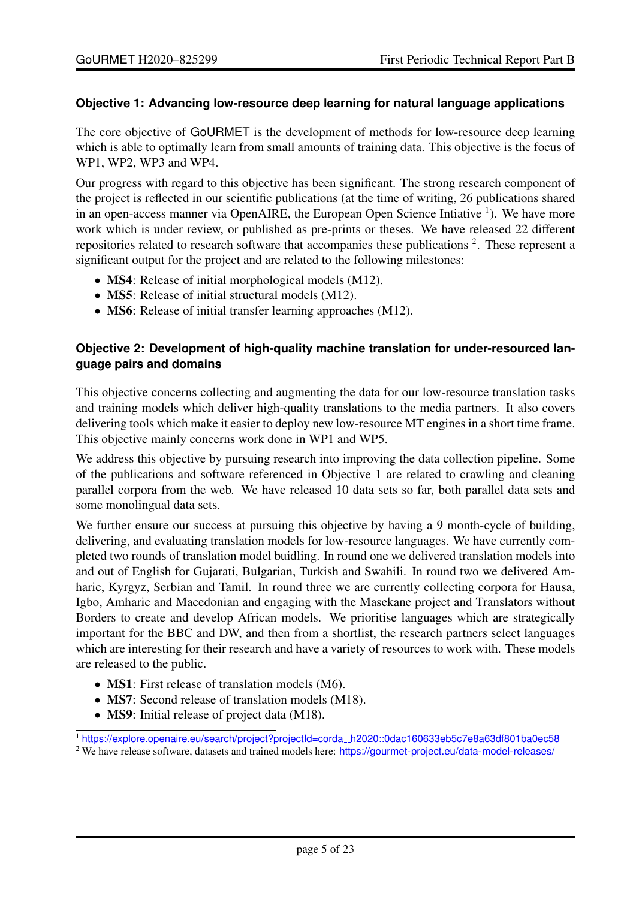#### **Objective 1: Advancing low-resource deep learning for natural language applications**

The core objective of GoURMET is the development of methods for low-resource deep learning which is able to optimally learn from small amounts of training data. This objective is the focus of WP1, WP2, WP3 and WP4.

Our progress with regard to this objective has been significant. The strong research component of the project is reflected in our scientific publications (at the time of writing, 26 publications shared in an open-access manner via OpenAIRE, the European Open Science Intiative <sup>1</sup>). We have more work which is under review, or published as pre-prints or theses. We have released 22 different repositories related to research software that accompanies these publications  $2$ . These represent a significant output for the project and are related to the following milestones:

- MS4: Release of initial morphological models (M12).
- MS5: Release of initial structural models (M12).
- MS6: Release of initial transfer learning approaches (M12).

#### **Objective 2: Development of high-quality machine translation for under-resourced language pairs and domains**

This objective concerns collecting and augmenting the data for our low-resource translation tasks and training models which deliver high-quality translations to the media partners. It also covers delivering tools which make it easier to deploy new low-resource MT engines in a short time frame. This objective mainly concerns work done in WP1 and WP5.

We address this objective by pursuing research into improving the data collection pipeline. Some of the publications and software referenced in Objective 1 are related to crawling and cleaning parallel corpora from the web. We have released 10 data sets so far, both parallel data sets and some monolingual data sets.

We further ensure our success at pursuing this objective by having a 9 month-cycle of building, delivering, and evaluating translation models for low-resource languages. We have currently completed two rounds of translation model buidling. In round one we delivered translation models into and out of English for Gujarati, Bulgarian, Turkish and Swahili. In round two we delivered Amharic, Kyrgyz, Serbian and Tamil. In round three we are currently collecting corpora for Hausa, Igbo, Amharic and Macedonian and engaging with the Masekane project and Translators without Borders to create and develop African models. We prioritise languages which are strategically important for the BBC and DW, and then from a shortlist, the research partners select languages which are interesting for their research and have a variety of resources to work with. These models are released to the public.

- **MS1**: First release of translation models (M6).
- MS7: Second release of translation models (M18).
- MS9: Initial release of project data (M18).

<sup>1</sup> [https://explore.openaire.eu/search/project?projectId=corda](https://explore.openaire.eu/search/project?projectId=corda__h2020::0dac160633eb5c7e8a63df801ba0ec58) h2020::0dac160633eb5c7e8a63df801ba0ec58

<sup>&</sup>lt;sup>2</sup> We have release software, datasets and trained models here: <https://gourmet-project.eu/data-model-releases/>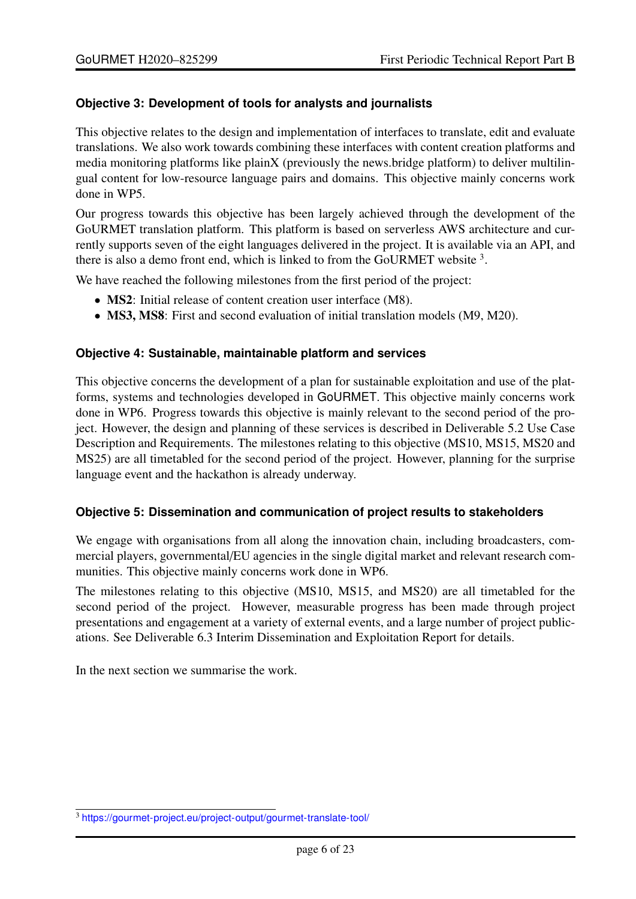#### **Objective 3: Development of tools for analysts and journalists**

This objective relates to the design and implementation of interfaces to translate, edit and evaluate translations. We also work towards combining these interfaces with content creation platforms and media monitoring platforms like plainX (previously the news.bridge platform) to deliver multilingual content for low-resource language pairs and domains. This objective mainly concerns work done in WP5.

Our progress towards this objective has been largely achieved through the development of the GoURMET translation platform. This platform is based on serverless AWS architecture and currently supports seven of the eight languages delivered in the project. It is available via an API, and there is also a demo front end, which is linked to from the GoURMET website  $3$ .

We have reached the following milestones from the first period of the project:

- MS2: Initial release of content creation user interface (M8).
- MS3, MS8: First and second evaluation of initial translation models (M9, M20).

#### **Objective 4: Sustainable, maintainable platform and services**

This objective concerns the development of a plan for sustainable exploitation and use of the platforms, systems and technologies developed in GoURMET. This objective mainly concerns work done in WP6. Progress towards this objective is mainly relevant to the second period of the project. However, the design and planning of these services is described in Deliverable 5.2 Use Case Description and Requirements. The milestones relating to this objective (MS10, MS15, MS20 and MS25) are all timetabled for the second period of the project. However, planning for the surprise language event and the hackathon is already underway.

#### **Objective 5: Dissemination and communication of project results to stakeholders**

We engage with organisations from all along the innovation chain, including broadcasters, commercial players, governmental/EU agencies in the single digital market and relevant research communities. This objective mainly concerns work done in WP6.

The milestones relating to this objective (MS10, MS15, and MS20) are all timetabled for the second period of the project. However, measurable progress has been made through project presentations and engagement at a variety of external events, and a large number of project publications. See Deliverable 6.3 Interim Dissemination and Exploitation Report for details.

In the next section we summarise the work.

<sup>3</sup> <https://gourmet-project.eu/project-output/gourmet-translate-tool/>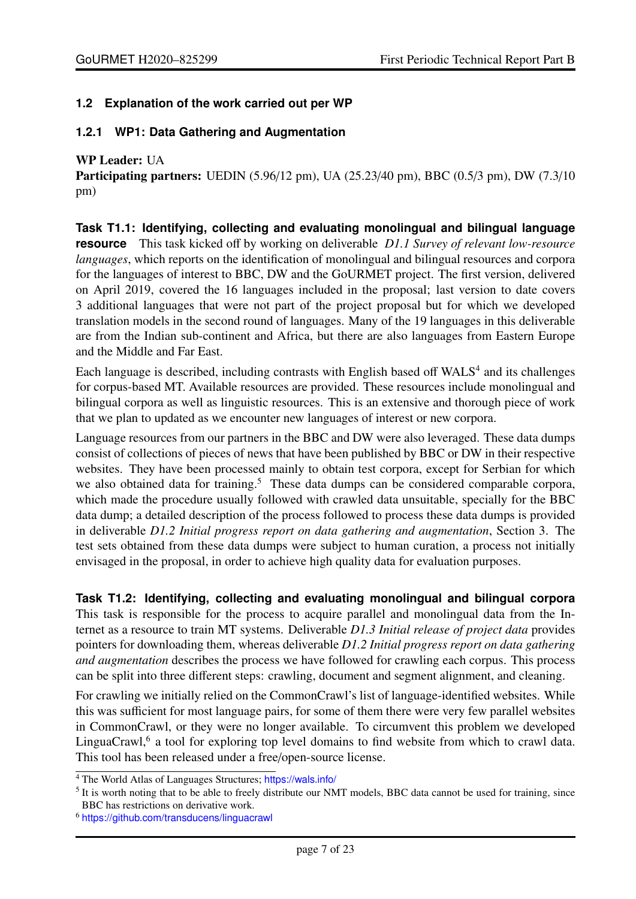#### <span id="page-6-0"></span>**1.2 Explanation of the work carried out per WP**

#### <span id="page-6-1"></span>**1.2.1 WP1: Data Gathering and Augmentation**

#### WP Leader: UA

Participating partners: UEDIN (5.96/12 pm), UA (25.23/40 pm), BBC (0.5/3 pm), DW (7.3/10 pm)

**Task T1.1: Identifying, collecting and evaluating monolingual and bilingual language resource** This task kicked off by working on deliverable *D1.1 Survey of relevant low-resource languages*, which reports on the identification of monolingual and bilingual resources and corpora for the languages of interest to BBC, DW and the GoURMET project. The first version, delivered on April 2019, covered the 16 languages included in the proposal; last version to date covers 3 additional languages that were not part of the project proposal but for which we developed translation models in the second round of languages. Many of the 19 languages in this deliverable are from the Indian sub-continent and Africa, but there are also languages from Eastern Europe and the Middle and Far East.

Each language is described, including contrasts with English based off WALS<sup>4</sup> and its challenges for corpus-based MT. Available resources are provided. These resources include monolingual and bilingual corpora as well as linguistic resources. This is an extensive and thorough piece of work that we plan to updated as we encounter new languages of interest or new corpora.

Language resources from our partners in the BBC and DW were also leveraged. These data dumps consist of collections of pieces of news that have been published by BBC or DW in their respective websites. They have been processed mainly to obtain test corpora, except for Serbian for which we also obtained data for training.<sup>5</sup> These data dumps can be considered comparable corpora, which made the procedure usually followed with crawled data unsuitable, specially for the BBC data dump; a detailed description of the process followed to process these data dumps is provided in deliverable *D1.2 Initial progress report on data gathering and augmentation*, Section 3. The test sets obtained from these data dumps were subject to human curation, a process not initially envisaged in the proposal, in order to achieve high quality data for evaluation purposes.

**Task T1.2: Identifying, collecting and evaluating monolingual and bilingual corpora** This task is responsible for the process to acquire parallel and monolingual data from the Internet as a resource to train MT systems. Deliverable *D1.3 Initial release of project data* provides pointers for downloading them, whereas deliverable *D1.2 Initial progress report on data gathering and augmentation* describes the process we have followed for crawling each corpus. This process can be split into three different steps: crawling, document and segment alignment, and cleaning.

For crawling we initially relied on the CommonCrawl's list of language-identified websites. While this was sufficient for most language pairs, for some of them there were very few parallel websites in CommonCrawl, or they were no longer available. To circumvent this problem we developed LinguaCrawl,<sup>6</sup> a tool for exploring top level domains to find website from which to crawl data. This tool has been released under a free/open-source license.

<sup>&</sup>lt;sup>4</sup> The World Atlas of Languages Structures; <https://wals.info/>

<sup>&</sup>lt;sup>5</sup> It is worth noting that to be able to freely distribute our NMT models, BBC data cannot be used for training, since BBC has restrictions on derivative work.

<sup>6</sup> <https://github.com/transducens/linguacrawl>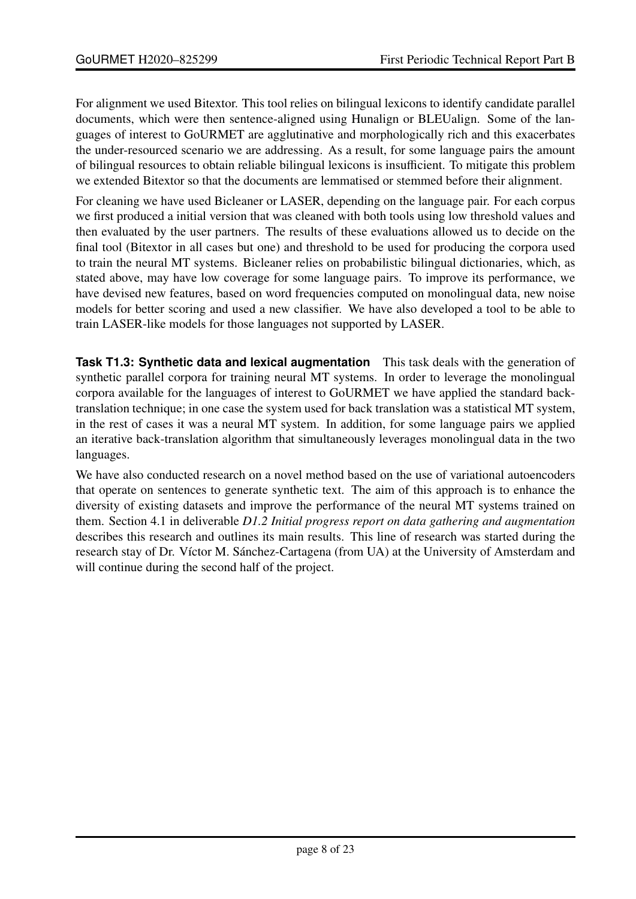For alignment we used Bitextor. This tool relies on bilingual lexicons to identify candidate parallel documents, which were then sentence-aligned using Hunalign or BLEUalign. Some of the languages of interest to GoURMET are agglutinative and morphologically rich and this exacerbates the under-resourced scenario we are addressing. As a result, for some language pairs the amount of bilingual resources to obtain reliable bilingual lexicons is insufficient. To mitigate this problem we extended Bitextor so that the documents are lemmatised or stemmed before their alignment.

For cleaning we have used Bicleaner or LASER, depending on the language pair. For each corpus we first produced a initial version that was cleaned with both tools using low threshold values and then evaluated by the user partners. The results of these evaluations allowed us to decide on the final tool (Bitextor in all cases but one) and threshold to be used for producing the corpora used to train the neural MT systems. Bicleaner relies on probabilistic bilingual dictionaries, which, as stated above, may have low coverage for some language pairs. To improve its performance, we have devised new features, based on word frequencies computed on monolingual data, new noise models for better scoring and used a new classifier. We have also developed a tool to be able to train LASER-like models for those languages not supported by LASER.

**Task T1.3: Synthetic data and lexical augmentation** This task deals with the generation of synthetic parallel corpora for training neural MT systems. In order to leverage the monolingual corpora available for the languages of interest to GoURMET we have applied the standard backtranslation technique; in one case the system used for back translation was a statistical MT system, in the rest of cases it was a neural MT system. In addition, for some language pairs we applied an iterative back-translation algorithm that simultaneously leverages monolingual data in the two languages.

We have also conducted research on a novel method based on the use of variational autoencoders that operate on sentences to generate synthetic text. The aim of this approach is to enhance the diversity of existing datasets and improve the performance of the neural MT systems trained on them. Section 4.1 in deliverable *D1.2 Initial progress report on data gathering and augmentation* describes this research and outlines its main results. This line of research was started during the research stay of Dr. Víctor M. Sánchez-Cartagena (from UA) at the University of Amsterdam and will continue during the second half of the project.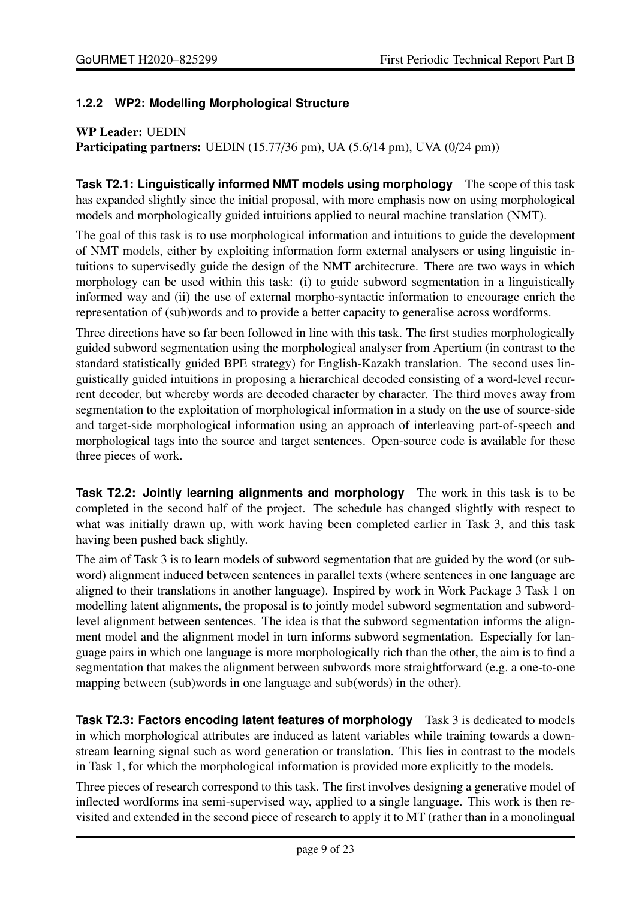#### <span id="page-8-0"></span>**1.2.2 WP2: Modelling Morphological Structure**

#### WP Leader: UEDIN

Participating partners: UEDIN (15.77/36 pm), UA (5.6/14 pm), UVA (0/24 pm))

**Task T2.1: Linguistically informed NMT models using morphology** The scope of this task has expanded slightly since the initial proposal, with more emphasis now on using morphological models and morphologically guided intuitions applied to neural machine translation (NMT).

The goal of this task is to use morphological information and intuitions to guide the development of NMT models, either by exploiting information form external analysers or using linguistic intuitions to supervisedly guide the design of the NMT architecture. There are two ways in which morphology can be used within this task: (i) to guide subword segmentation in a linguistically informed way and (ii) the use of external morpho-syntactic information to encourage enrich the representation of (sub)words and to provide a better capacity to generalise across wordforms.

Three directions have so far been followed in line with this task. The first studies morphologically guided subword segmentation using the morphological analyser from Apertium (in contrast to the standard statistically guided BPE strategy) for English-Kazakh translation. The second uses linguistically guided intuitions in proposing a hierarchical decoded consisting of a word-level recurrent decoder, but whereby words are decoded character by character. The third moves away from segmentation to the exploitation of morphological information in a study on the use of source-side and target-side morphological information using an approach of interleaving part-of-speech and morphological tags into the source and target sentences. Open-source code is available for these three pieces of work.

**Task T2.2: Jointly learning alignments and morphology** The work in this task is to be completed in the second half of the project. The schedule has changed slightly with respect to what was initially drawn up, with work having been completed earlier in Task 3, and this task having been pushed back slightly.

The aim of Task 3 is to learn models of subword segmentation that are guided by the word (or subword) alignment induced between sentences in parallel texts (where sentences in one language are aligned to their translations in another language). Inspired by work in Work Package 3 Task 1 on modelling latent alignments, the proposal is to jointly model subword segmentation and subwordlevel alignment between sentences. The idea is that the subword segmentation informs the alignment model and the alignment model in turn informs subword segmentation. Especially for language pairs in which one language is more morphologically rich than the other, the aim is to find a segmentation that makes the alignment between subwords more straightforward (e.g. a one-to-one mapping between (sub)words in one language and sub(words) in the other).

**Task T2.3: Factors encoding latent features of morphology** Task 3 is dedicated to models in which morphological attributes are induced as latent variables while training towards a downstream learning signal such as word generation or translation. This lies in contrast to the models in Task 1, for which the morphological information is provided more explicitly to the models.

Three pieces of research correspond to this task. The first involves designing a generative model of inflected wordforms ina semi-supervised way, applied to a single language. This work is then revisited and extended in the second piece of research to apply it to MT (rather than in a monolingual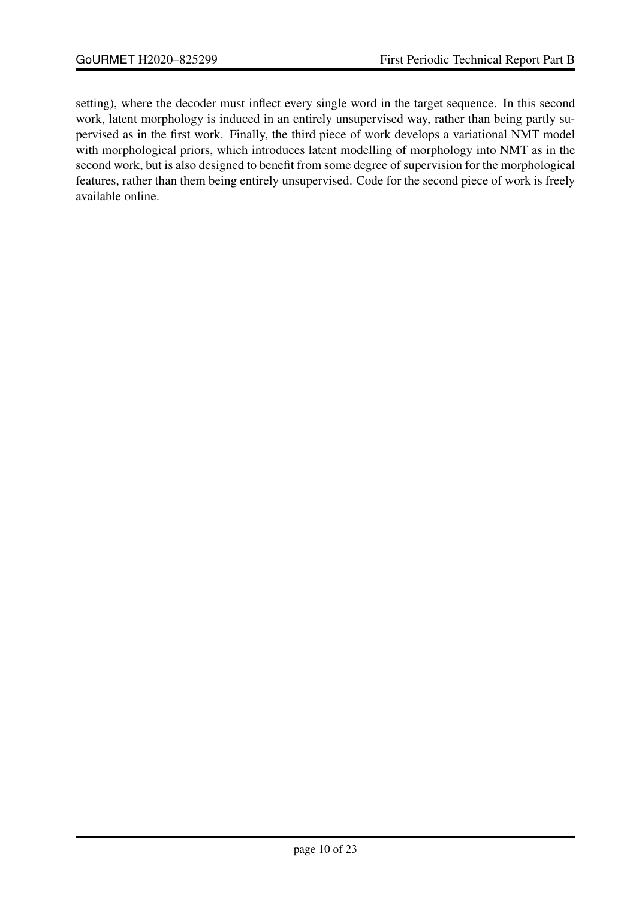setting), where the decoder must inflect every single word in the target sequence. In this second work, latent morphology is induced in an entirely unsupervised way, rather than being partly supervised as in the first work. Finally, the third piece of work develops a variational NMT model with morphological priors, which introduces latent modelling of morphology into NMT as in the second work, but is also designed to benefit from some degree of supervision for the morphological features, rather than them being entirely unsupervised. Code for the second piece of work is freely available online.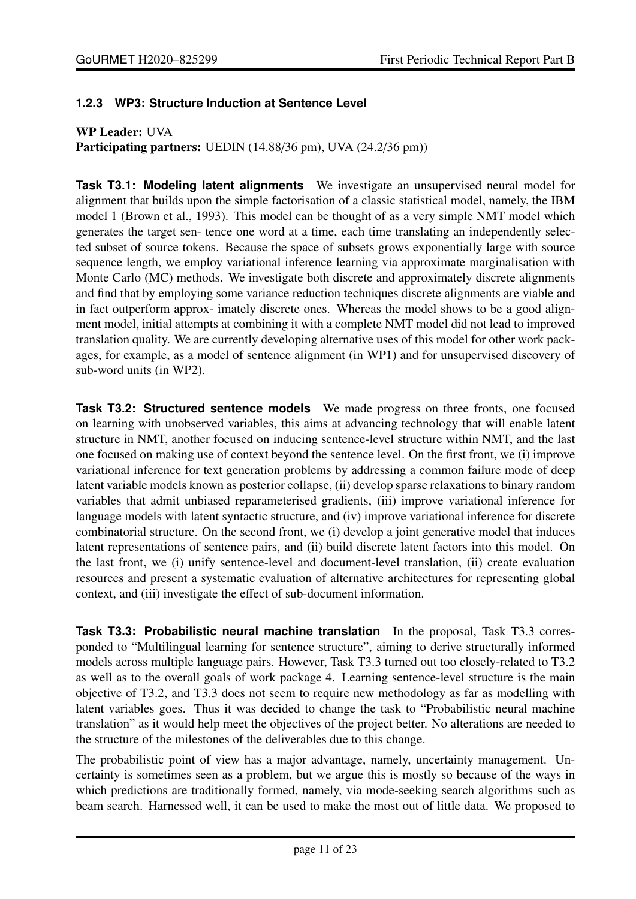#### <span id="page-10-0"></span>**1.2.3 WP3: Structure Induction at Sentence Level**

#### WP Leader: UVA

Participating partners: UEDIN (14.88/36 pm), UVA (24.2/36 pm))

**Task T3.1: Modeling latent alignments** We investigate an unsupervised neural model for alignment that builds upon the simple factorisation of a classic statistical model, namely, the IBM model 1 (Brown et al., 1993). This model can be thought of as a very simple NMT model which generates the target sen- tence one word at a time, each time translating an independently selected subset of source tokens. Because the space of subsets grows exponentially large with source sequence length, we employ variational inference learning via approximate marginalisation with Monte Carlo (MC) methods. We investigate both discrete and approximately discrete alignments and find that by employing some variance reduction techniques discrete alignments are viable and in fact outperform approx- imately discrete ones. Whereas the model shows to be a good alignment model, initial attempts at combining it with a complete NMT model did not lead to improved translation quality. We are currently developing alternative uses of this model for other work packages, for example, as a model of sentence alignment (in WP1) and for unsupervised discovery of sub-word units (in WP2).

**Task T3.2: Structured sentence models** We made progress on three fronts, one focused on learning with unobserved variables, this aims at advancing technology that will enable latent structure in NMT, another focused on inducing sentence-level structure within NMT, and the last one focused on making use of context beyond the sentence level. On the first front, we (i) improve variational inference for text generation problems by addressing a common failure mode of deep latent variable models known as posterior collapse, (ii) develop sparse relaxations to binary random variables that admit unbiased reparameterised gradients, (iii) improve variational inference for language models with latent syntactic structure, and (iv) improve variational inference for discrete combinatorial structure. On the second front, we (i) develop a joint generative model that induces latent representations of sentence pairs, and (ii) build discrete latent factors into this model. On the last front, we (i) unify sentence-level and document-level translation, (ii) create evaluation resources and present a systematic evaluation of alternative architectures for representing global context, and (iii) investigate the effect of sub-document information.

**Task T3.3: Probabilistic neural machine translation** In the proposal, Task T3.3 corresponded to "Multilingual learning for sentence structure", aiming to derive structurally informed models across multiple language pairs. However, Task T3.3 turned out too closely-related to T3.2 as well as to the overall goals of work package 4. Learning sentence-level structure is the main objective of T3.2, and T3.3 does not seem to require new methodology as far as modelling with latent variables goes. Thus it was decided to change the task to "Probabilistic neural machine translation" as it would help meet the objectives of the project better. No alterations are needed to the structure of the milestones of the deliverables due to this change.

The probabilistic point of view has a major advantage, namely, uncertainty management. Uncertainty is sometimes seen as a problem, but we argue this is mostly so because of the ways in which predictions are traditionally formed, namely, via mode-seeking search algorithms such as beam search. Harnessed well, it can be used to make the most out of little data. We proposed to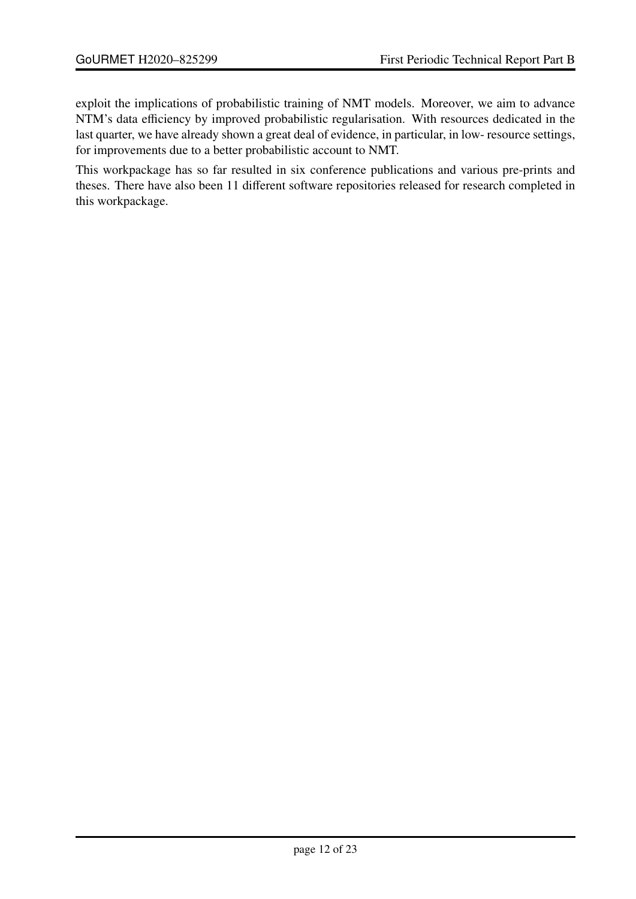exploit the implications of probabilistic training of NMT models. Moreover, we aim to advance NTM's data efficiency by improved probabilistic regularisation. With resources dedicated in the last quarter, we have already shown a great deal of evidence, in particular, in low- resource settings, for improvements due to a better probabilistic account to NMT.

This workpackage has so far resulted in six conference publications and various pre-prints and theses. There have also been 11 different software repositories released for research completed in this workpackage.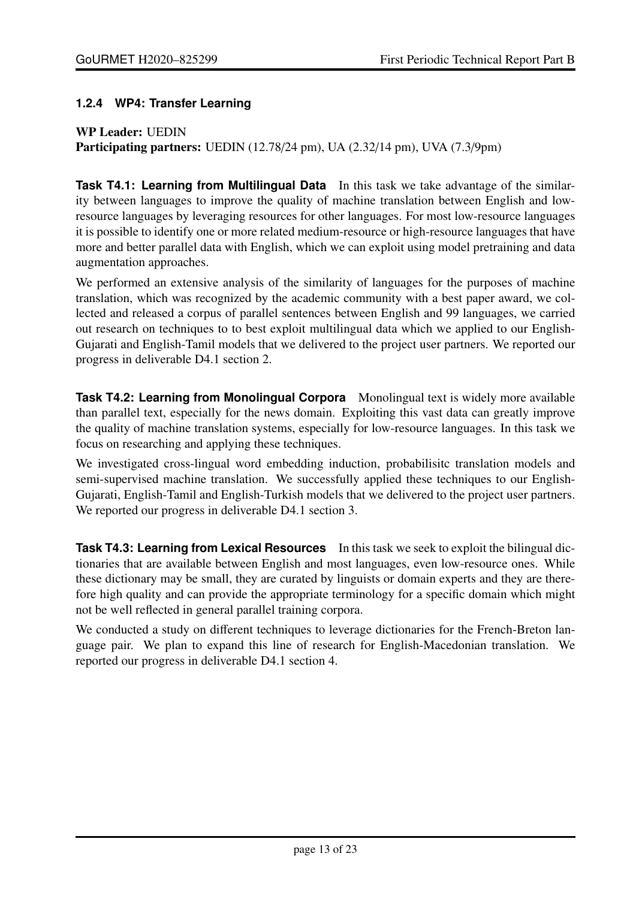#### <span id="page-12-0"></span>**1.2.4 WP4: Transfer Learning**

#### WP Leader: UEDIN

Participating partners: UEDIN (12.78/24 pm), UA (2.32/14 pm), UVA (7.3/9pm)

**Task T4.1: Learning from Multilingual Data** In this task we take advantage of the similarity between languages to improve the quality of machine translation between English and lowresource languages by leveraging resources for other languages. For most low-resource languages it is possible to identify one or more related medium-resource or high-resource languages that have more and better parallel data with English, which we can exploit using model pretraining and data augmentation approaches.

We performed an extensive analysis of the similarity of languages for the purposes of machine translation, which was recognized by the academic community with a best paper award, we collected and released a corpus of parallel sentences between English and 99 languages, we carried out research on techniques to to best exploit multilingual data which we applied to our English-Gujarati and English-Tamil models that we delivered to the project user partners. We reported our progress in deliverable D4.1 section 2.

**Task T4.2: Learning from Monolingual Corpora** Monolingual text is widely more available than parallel text, especially for the news domain. Exploiting this vast data can greatly improve the quality of machine translation systems, especially for low-resource languages. In this task we focus on researching and applying these techniques.

We investigated cross-lingual word embedding induction, probabilisitc translation models and semi-supervised machine translation. We successfully applied these techniques to our English-Gujarati, English-Tamil and English-Turkish models that we delivered to the project user partners. We reported our progress in deliverable D4.1 section 3.

**Task T4.3: Learning from Lexical Resources** In this task we seek to exploit the bilingual dictionaries that are available between English and most languages, even low-resource ones. While these dictionary may be small, they are curated by linguists or domain experts and they are therefore high quality and can provide the appropriate terminology for a specific domain which might not be well reflected in general parallel training corpora.

We conducted a study on different techniques to leverage dictionaries for the French-Breton language pair. We plan to expand this line of research for English-Macedonian translation. We reported our progress in deliverable D4.1 section 4.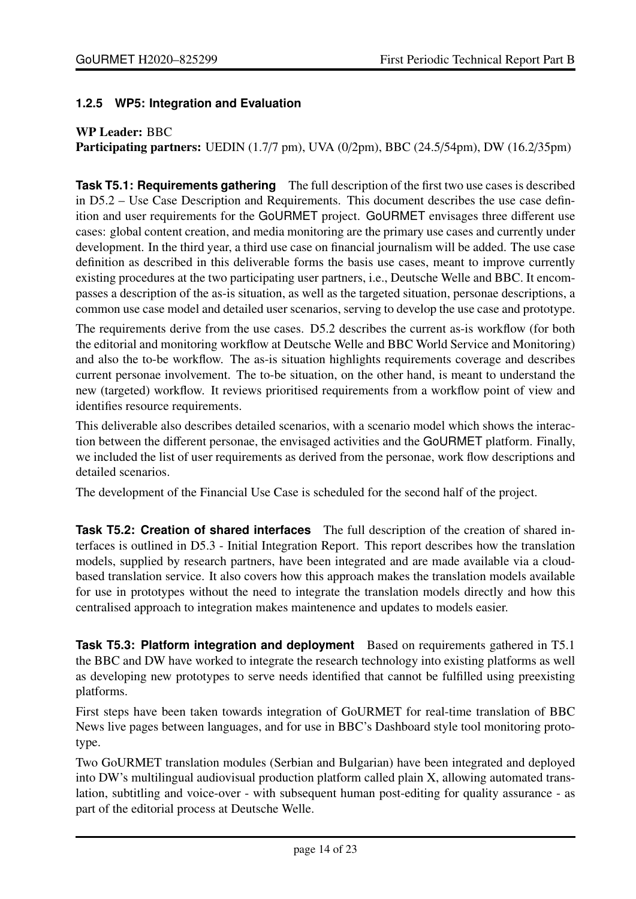#### <span id="page-13-0"></span>**1.2.5 WP5: Integration and Evaluation**

#### WP Leader: BBC

Participating partners: UEDIN (1.7/7 pm), UVA (0/2pm), BBC (24.5/54pm), DW (16.2/35pm)

**Task T5.1: Requirements gathering** The full description of the first two use cases is described in D5.2 – Use Case Description and Requirements. This document describes the use case definition and user requirements for the GoURMET project. GoURMET envisages three different use cases: global content creation, and media monitoring are the primary use cases and currently under development. In the third year, a third use case on financial journalism will be added. The use case definition as described in this deliverable forms the basis use cases, meant to improve currently existing procedures at the two participating user partners, i.e., Deutsche Welle and BBC. It encompasses a description of the as-is situation, as well as the targeted situation, personae descriptions, a common use case model and detailed user scenarios, serving to develop the use case and prototype.

The requirements derive from the use cases. D5.2 describes the current as-is workflow (for both the editorial and monitoring workflow at Deutsche Welle and BBC World Service and Monitoring) and also the to-be workflow. The as-is situation highlights requirements coverage and describes current personae involvement. The to-be situation, on the other hand, is meant to understand the new (targeted) workflow. It reviews prioritised requirements from a workflow point of view and identifies resource requirements.

This deliverable also describes detailed scenarios, with a scenario model which shows the interaction between the different personae, the envisaged activities and the GoURMET platform. Finally, we included the list of user requirements as derived from the personae, work flow descriptions and detailed scenarios.

The development of the Financial Use Case is scheduled for the second half of the project.

**Task T5.2: Creation of shared interfaces** The full description of the creation of shared interfaces is outlined in D5.3 - Initial Integration Report. This report describes how the translation models, supplied by research partners, have been integrated and are made available via a cloudbased translation service. It also covers how this approach makes the translation models available for use in prototypes without the need to integrate the translation models directly and how this centralised approach to integration makes maintenence and updates to models easier.

**Task T5.3: Platform integration and deployment** Based on requirements gathered in T5.1 the BBC and DW have worked to integrate the research technology into existing platforms as well as developing new prototypes to serve needs identified that cannot be fulfilled using preexisting platforms.

First steps have been taken towards integration of GoURMET for real-time translation of BBC News live pages between languages, and for use in BBC's Dashboard style tool monitoring prototype.

Two GoURMET translation modules (Serbian and Bulgarian) have been integrated and deployed into DW's multilingual audiovisual production platform called plain X, allowing automated translation, subtitling and voice-over - with subsequent human post-editing for quality assurance - as part of the editorial process at Deutsche Welle.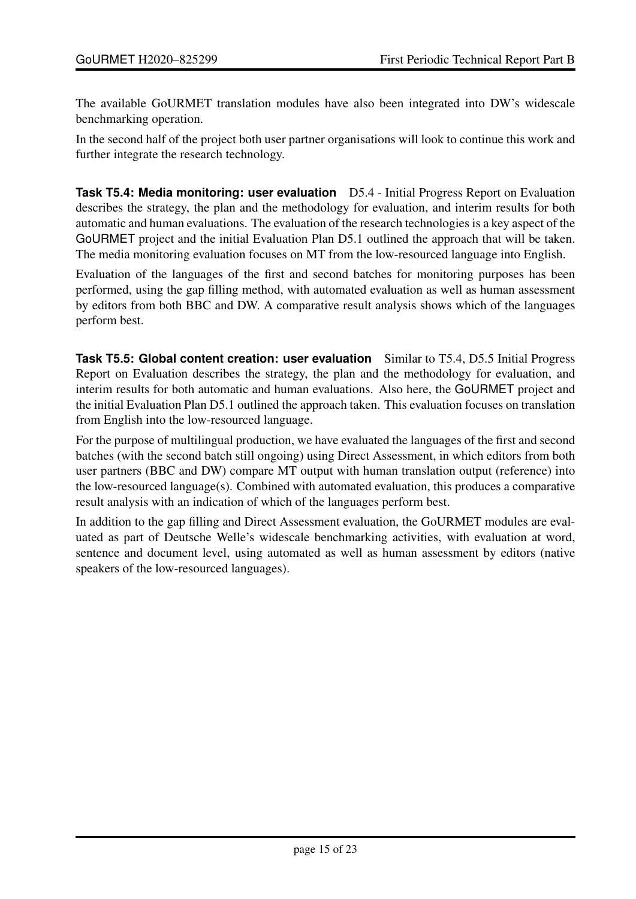The available GoURMET translation modules have also been integrated into DW's widescale benchmarking operation.

In the second half of the project both user partner organisations will look to continue this work and further integrate the research technology.

**Task T5.4: Media monitoring: user evaluation** D5.4 - Initial Progress Report on Evaluation describes the strategy, the plan and the methodology for evaluation, and interim results for both automatic and human evaluations. The evaluation of the research technologies is a key aspect of the GoURMET project and the initial Evaluation Plan D5.1 outlined the approach that will be taken. The media monitoring evaluation focuses on MT from the low-resourced language into English.

Evaluation of the languages of the first and second batches for monitoring purposes has been performed, using the gap filling method, with automated evaluation as well as human assessment by editors from both BBC and DW. A comparative result analysis shows which of the languages perform best.

**Task T5.5: Global content creation: user evaluation** Similar to T5.4, D5.5 Initial Progress Report on Evaluation describes the strategy, the plan and the methodology for evaluation, and interim results for both automatic and human evaluations. Also here, the GoURMET project and the initial Evaluation Plan D5.1 outlined the approach taken. This evaluation focuses on translation from English into the low-resourced language.

For the purpose of multilingual production, we have evaluated the languages of the first and second batches (with the second batch still ongoing) using Direct Assessment, in which editors from both user partners (BBC and DW) compare MT output with human translation output (reference) into the low-resourced language(s). Combined with automated evaluation, this produces a comparative result analysis with an indication of which of the languages perform best.

In addition to the gap filling and Direct Assessment evaluation, the GoURMET modules are evaluated as part of Deutsche Welle's widescale benchmarking activities, with evaluation at word, sentence and document level, using automated as well as human assessment by editors (native speakers of the low-resourced languages).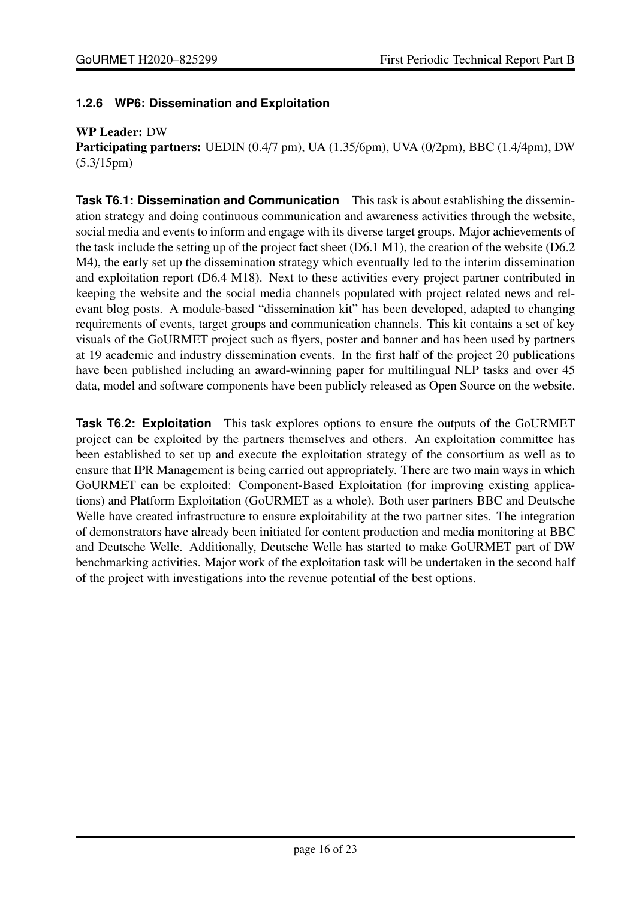#### <span id="page-15-0"></span>**1.2.6 WP6: Dissemination and Exploitation**

#### WP Leader: DW

Participating partners: UEDIN (0.4/7 pm), UA (1.35/6pm), UVA (0/2pm), BBC (1.4/4pm), DW (5.3/15pm)

**Task T6.1: Dissemination and Communication** This task is about establishing the dissemination strategy and doing continuous communication and awareness activities through the website, social media and events to inform and engage with its diverse target groups. Major achievements of the task include the setting up of the project fact sheet (D6.1 M1), the creation of the website (D6.2 M4), the early set up the dissemination strategy which eventually led to the interim dissemination and exploitation report (D6.4 M18). Next to these activities every project partner contributed in keeping the website and the social media channels populated with project related news and relevant blog posts. A module-based "dissemination kit" has been developed, adapted to changing requirements of events, target groups and communication channels. This kit contains a set of key visuals of the GoURMET project such as flyers, poster and banner and has been used by partners at 19 academic and industry dissemination events. In the first half of the project 20 publications have been published including an award-winning paper for multilingual NLP tasks and over 45 data, model and software components have been publicly released as Open Source on the website.

**Task T6.2: Exploitation** This task explores options to ensure the outputs of the GoURMET project can be exploited by the partners themselves and others. An exploitation committee has been established to set up and execute the exploitation strategy of the consortium as well as to ensure that IPR Management is being carried out appropriately. There are two main ways in which GoURMET can be exploited: Component-Based Exploitation (for improving existing applications) and Platform Exploitation (GoURMET as a whole). Both user partners BBC and Deutsche Welle have created infrastructure to ensure exploitability at the two partner sites. The integration of demonstrators have already been initiated for content production and media monitoring at BBC and Deutsche Welle. Additionally, Deutsche Welle has started to make GoURMET part of DW benchmarking activities. Major work of the exploitation task will be undertaken in the second half of the project with investigations into the revenue potential of the best options.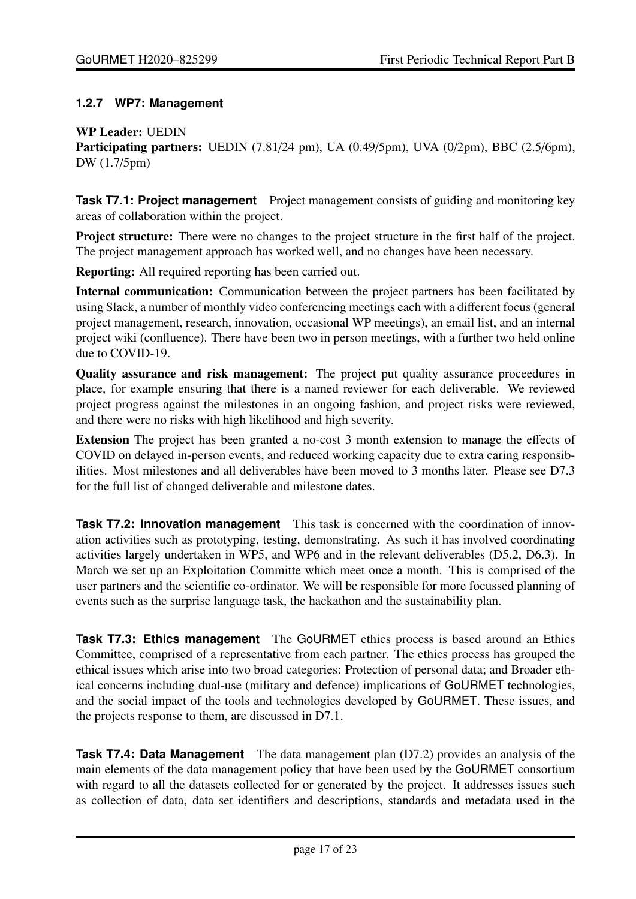#### <span id="page-16-0"></span>**1.2.7 WP7: Management**

#### WP Leader: UEDIN

Participating partners: UEDIN (7.81/24 pm), UA (0.49/5pm), UVA (0/2pm), BBC (2.5/6pm), DW (1.7/5pm)

**Task T7.1: Project management** Project management consists of guiding and monitoring key areas of collaboration within the project.

Project structure: There were no changes to the project structure in the first half of the project. The project management approach has worked well, and no changes have been necessary.

Reporting: All required reporting has been carried out.

Internal communication: Communication between the project partners has been facilitated by using Slack, a number of monthly video conferencing meetings each with a different focus (general project management, research, innovation, occasional WP meetings), an email list, and an internal project wiki (confluence). There have been two in person meetings, with a further two held online due to COVID-19.

Quality assurance and risk management: The project put quality assurance proceedures in place, for example ensuring that there is a named reviewer for each deliverable. We reviewed project progress against the milestones in an ongoing fashion, and project risks were reviewed, and there were no risks with high likelihood and high severity.

Extension The project has been granted a no-cost 3 month extension to manage the effects of COVID on delayed in-person events, and reduced working capacity due to extra caring responsibilities. Most milestones and all deliverables have been moved to 3 months later. Please see D7.3 for the full list of changed deliverable and milestone dates.

**Task T7.2: Innovation management** This task is concerned with the coordination of innovation activities such as prototyping, testing, demonstrating. As such it has involved coordinating activities largely undertaken in WP5, and WP6 and in the relevant deliverables (D5.2, D6.3). In March we set up an Exploitation Committe which meet once a month. This is comprised of the user partners and the scientific co-ordinator. We will be responsible for more focussed planning of events such as the surprise language task, the hackathon and the sustainability plan.

**Task T7.3: Ethics management** The GoURMET ethics process is based around an Ethics Committee, comprised of a representative from each partner. The ethics process has grouped the ethical issues which arise into two broad categories: Protection of personal data; and Broader ethical concerns including dual-use (military and defence) implications of GoURMET technologies, and the social impact of the tools and technologies developed by GoURMET. These issues, and the projects response to them, are discussed in D7.1.

**Task T7.4: Data Management** The data management plan (D7.2) provides an analysis of the main elements of the data management policy that have been used by the GoURMET consortium with regard to all the datasets collected for or generated by the project. It addresses issues such as collection of data, data set identifiers and descriptions, standards and metadata used in the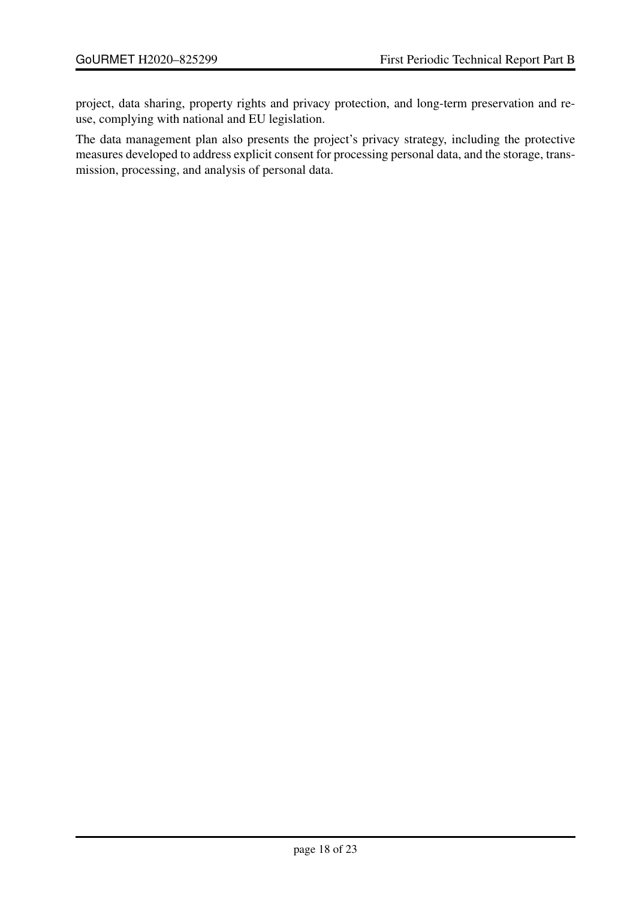project, data sharing, property rights and privacy protection, and long-term preservation and reuse, complying with national and EU legislation.

The data management plan also presents the project's privacy strategy, including the protective measures developed to address explicit consent for processing personal data, and the storage, transmission, processing, and analysis of personal data.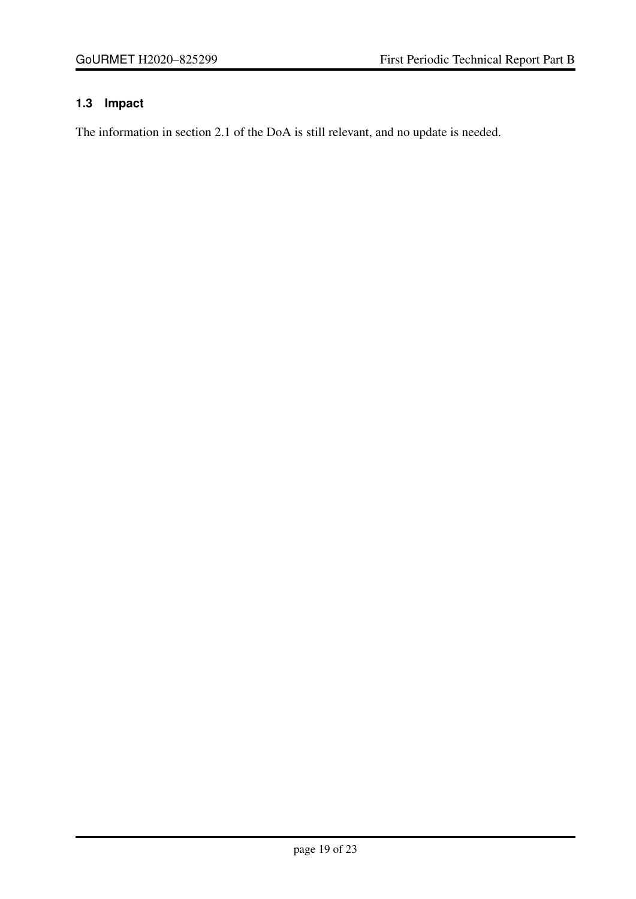### <span id="page-18-0"></span>**1.3 Impact**

The information in section 2.1 of the DoA is still relevant, and no update is needed.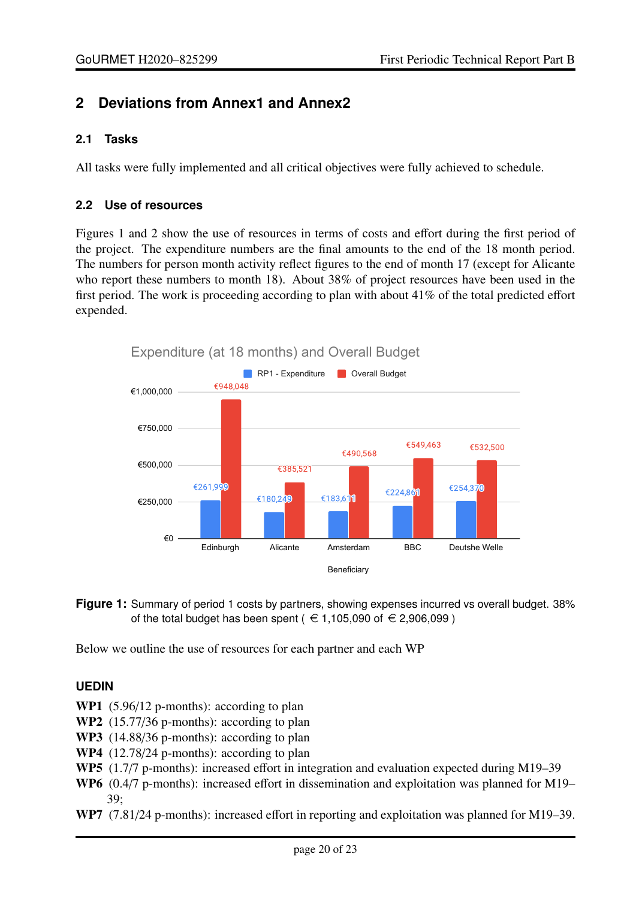### <span id="page-19-0"></span>**2 Deviations from Annex1 and Annex2**

#### <span id="page-19-1"></span>**2.1 Tasks**

<span id="page-19-2"></span>All tasks were fully implemented and all critical objectives were fully achieved to schedule.

#### **2.2 Use of resources**

Figures [1](#page-19-3) and [2](#page-20-0) show the use of resources in terms of costs and effort during the first period of the project. The expenditure numbers are the final amounts to the end of the 18 month period. The numbers for person month activity reflect figures to the end of month 17 (except for Alicante who report these numbers to month 18). About 38% of project resources have been used in the first period. The work is proceeding according to plan with about 41% of the total predicted effort expended.

<span id="page-19-3"></span>

**Figure 1:** Summary of period 1 costs by partners, showing expenses incurred vs overall budget. 38% of the total budget has been spent ( $\in$  1,105,090 of  $\in$  2,906,099)

Below we outline the use of resources for each partner and each WP

#### **UEDIN**

- WP1 (5.96/12 p-months): according to plan
- WP2 (15.77/36 p-months): according to plan
- WP3 (14.88/36 p-months): according to plan
- WP4 (12.78/24 p-months): according to plan
- WP5 (1.7/7 p-months): increased effort in integration and evaluation expected during M19–39
- WP6 (0.4/7 p-months): increased effort in dissemination and exploitation was planned for M19– 39;
- WP7 (7.81/24 p-months): increased effort in reporting and exploitation was planned for M19–39.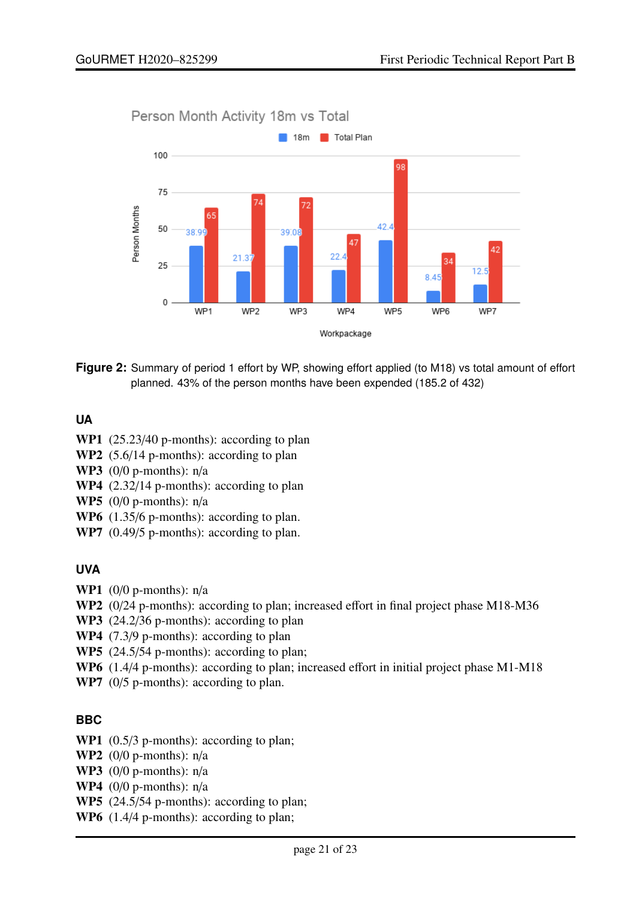<span id="page-20-0"></span>



**Figure 2:** Summary of period 1 effort by WP, showing effort applied (to M18) vs total amount of effort planned. 43% of the person months have been expended (185.2 of 432)

#### **UA**

- WP1 (25.23/40 p-months): according to plan
- WP2 (5.6/14 p-months): according to plan
- WP3  $(0/0 p$ -months):  $n/a$
- WP4 (2.32/14 p-months): according to plan
- WP5 (0/0 p-months): n/a
- WP6  $(1.35/6 \text{ p-months})$ : according to plan.
- WP7 (0.49/5 p-months): according to plan.

#### **UVA**

- WP1  $(0/0 \text{ p-months})$ :  $n/a$
- WP2 (0/24 p-months): according to plan; increased effort in final project phase M18-M36
- WP3 (24.2/36 p-months): according to plan
- WP4 (7.3/9 p-months): according to plan
- WP5 (24.5/54 p-months): according to plan;
- WP6 (1.4/4 p-months): according to plan; increased effort in initial project phase M1-M18
- WP7 (0/5 p-months): according to plan.

#### **BBC**

- WP1 (0.5/3 p-months): according to plan;
- WP2  $(0/0 p$ -months):  $n/a$
- WP3  $(0/0 p$ -months):  $n/a$
- WP4 (0/0 p-months):  $n/a$
- WP5 (24.5/54 p-months): according to plan;
- WP6  $(1.4/4$  p-months): according to plan;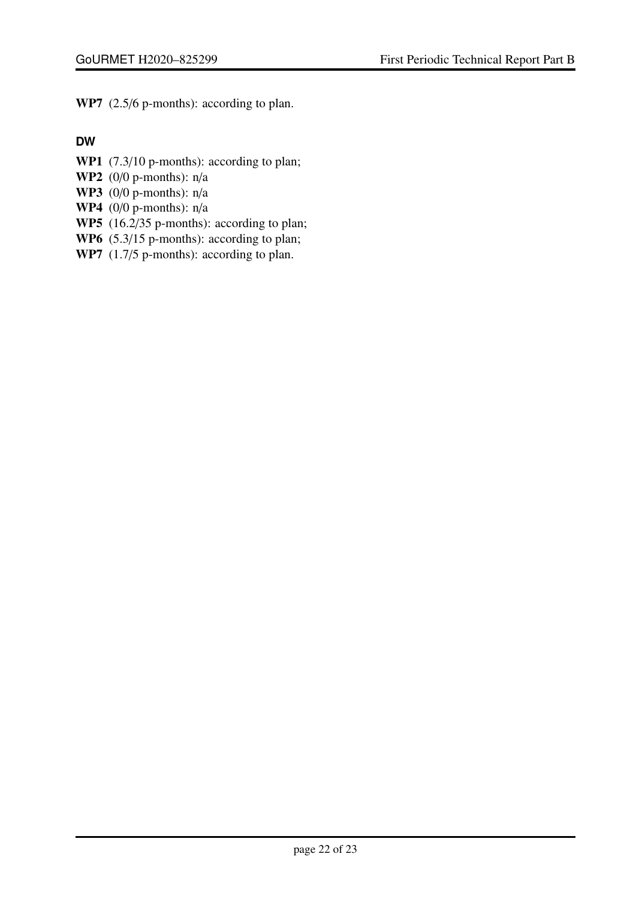WP7 (2.5/6 p-months): according to plan.

### **DW**

- WP1 (7.3/10 p-months): according to plan;
- WP2  $(0/0 p$ -months):  $n/a$
- WP3  $(0/0 p$ -months):  $n/a$
- WP4  $(0/0 p$ -months):  $n/a$
- WP5 (16.2/35 p-months): according to plan;
- WP6 (5.3/15 p-months): according to plan;
- WP7  $(1.7/5$  p-months): according to plan.